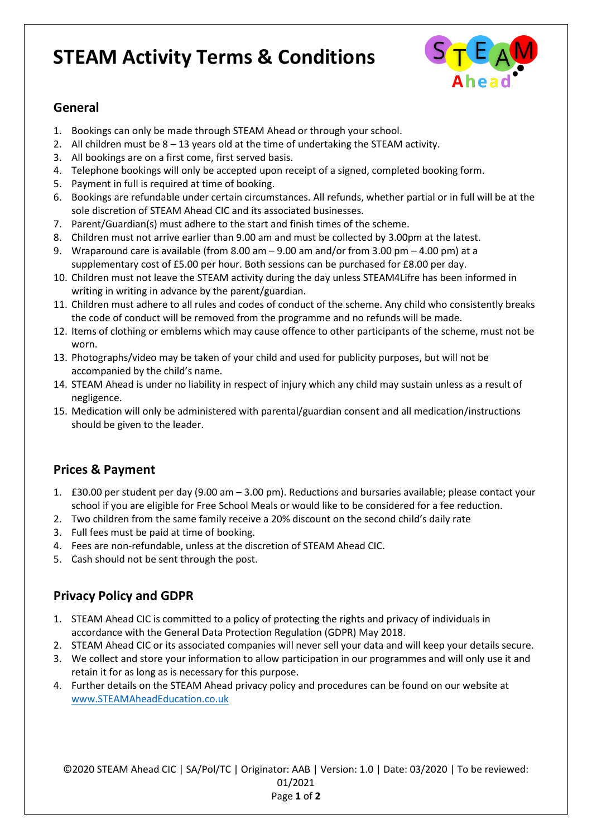# **STEAM Activity Terms & Conditions**



#### **General**

- 1. Bookings can only be made through STEAM Ahead or through your school.
- 2. All children must be 8 13 years old at the time of undertaking the STEAM activity.
- 3. All bookings are on a first come, first served basis.
- 4. Telephone bookings will only be accepted upon receipt of a signed, completed booking form.
- 5. Payment in full is required at time of booking.
- 6. Bookings are refundable under certain circumstances. All refunds, whether partial or in full will be at the sole discretion of STEAM Ahead CIC and its associated businesses.
- 7. Parent/Guardian(s) must adhere to the start and finish times of the scheme.
- 8. Children must not arrive earlier than 9.00 am and must be collected by 3.00pm at the latest.
- 9. Wraparound care is available (from 8.00 am 9.00 am and/or from 3.00 pm 4.00 pm) at a supplementary cost of £5.00 per hour. Both sessions can be purchased for £8.00 per day.
- 10. Children must not leave the STEAM activity during the day unless STEAM4Lifre has been informed in writing in writing in advance by the parent/guardian.
- 11. Children must adhere to all rules and codes of conduct of the scheme. Any child who consistently breaks the code of conduct will be removed from the programme and no refunds will be made.
- 12. Items of clothing or emblems which may cause offence to other participants of the scheme, must not be worn.
- 13. Photographs/video may be taken of your child and used for publicity purposes, but will not be accompanied by the child's name.
- 14. STEAM Ahead is under no liability in respect of injury which any child may sustain unless as a result of negligence.
- 15. Medication will only be administered with parental/guardian consent and all medication/instructions should be given to the leader.

#### **Prices & Payment**

- 1. £30.00 per student per day (9.00 am 3.00 pm). Reductions and bursaries available; please contact your school if you are eligible for Free School Meals or would like to be considered for a fee reduction.
- 2. Two children from the same family receive a 20% discount on the second child's daily rate
- 3. Full fees must be paid at time of booking.
- 4. Fees are non-refundable, unless at the discretion of STEAM Ahead CIC.
- 5. Cash should not be sent through the post.

## **Privacy Policy and GDPR**

- 1. STEAM Ahead CIC is committed to a policy of protecting the rights and privacy of individuals in accordance with the General Data Protection Regulation (GDPR) May 2018.
- 2. STEAM Ahead CIC or its associated companies will never sell your data and will keep your details secure.
- 3. We collect and store your information to allow participation in our programmes and will only use it and retain it for as long as is necessary for this purpose.
- 4. Further details on the STEAM Ahead privacy policy and procedures can be found on our website at [www.STEAMAheadEducation.co.uk](http://www.steamaheadeducation.co.uk/)

©2020 STEAM Ahead CIC | SA/Pol/TC | Originator: AAB | Version: 1.0 | Date: 03/2020 | To be reviewed: 01/2021 Page **1** of **2**